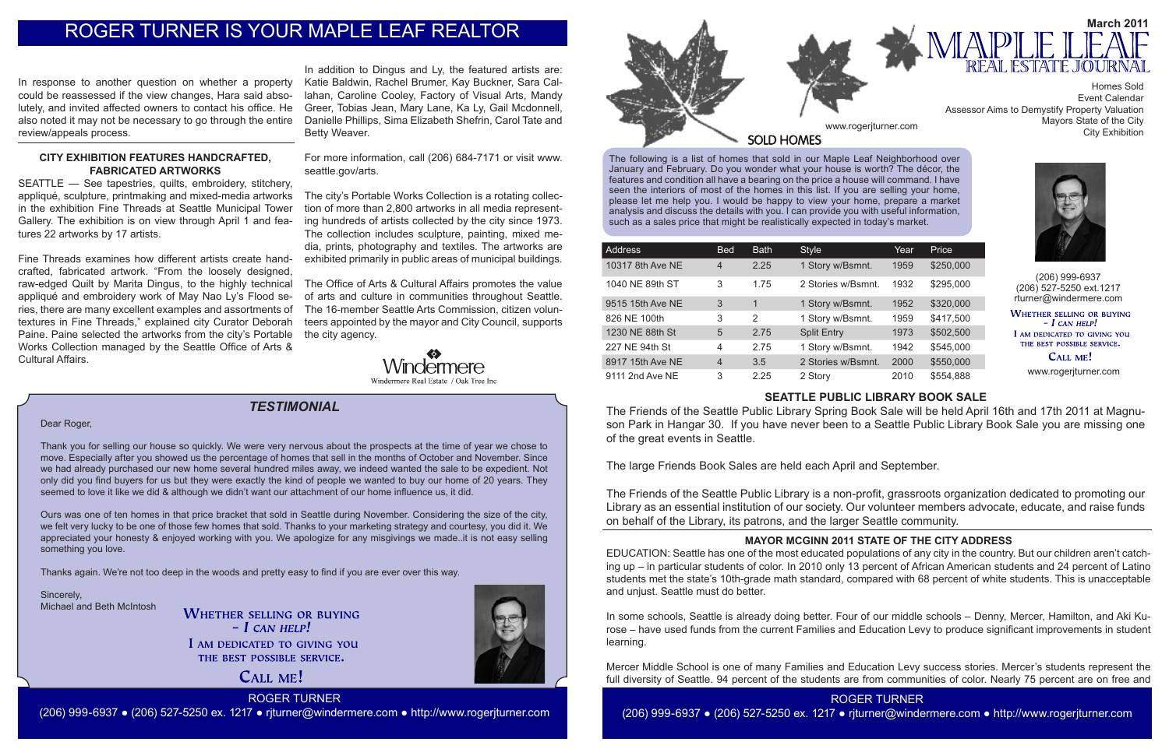The following is a list of homes that sold in our Maple Leaf Neighborhood over January and February. Do you wonder what your house is worth? The décor, the features and condition all have a bearing on the price a house will command. I have seen the interiors of most of the homes in this list. If you are selling your home, please let me help you. I would be happy to view your home, prepare a market analysis and discuss the details with you. I can provide you with useful information, such as a sales price that might be realistically expected in today's market.

> (206) 999-6937 (206) 527-5250 ext.1217 rturner@windermere.com WHETHER SELLING OR BUYING  $-I$  CAN HELP! I AM DEDICATED TO GIVING YOU

THE BEST POSSIBLE SERVICE. CALL ME!

CALL ME! ROGER TURNER

| Address          | <b>Bed</b>     | <b>Bath</b> | <b>Style</b>       | Year | Price     |
|------------------|----------------|-------------|--------------------|------|-----------|
| 10317 8th Ave NE | $\overline{4}$ | 2.25        | 1 Story w/Bsmnt.   | 1959 | \$250,000 |
| 1040 NE 89th ST  | 3              | 1.75        | 2 Stories w/Bsmnt. | 1932 | \$295,000 |
| 9515 15th Ave NE | 3              | 1           | 1 Story w/Bsmnt.   | 1952 | \$320,000 |
| 826 NE 100th     | 3              | 2           | 1 Story w/Bsmnt.   | 1959 | \$417,500 |
| 1230 NE 88th St  | 5              | 2.75        | <b>Split Entry</b> | 1973 | \$502,500 |
| 227 NE 94th St   | 4              | 2.75        | 1 Story w/Bsmnt.   | 1942 | \$545,000 |
| 8917 15th Ave NE | $\overline{4}$ | 3.5         | 2 Stories w/Bsmnt. | 2000 | \$550,000 |
| 9111 2nd Ave NE  | 3              | 2.25        | 2 Story            | 2010 | \$554,888 |



*TESTIMONIAL*

www.rogerjturner.com

(206) 999-6937 ● (206) 527-5250 ex. 1217 ● rjturner@windermere.com ● http://www.rogerjturner.com

#### Dear Roger,

Thank you for selling our house so quickly. We were very nervous about the prospects at the time of year we chose to move. Especially after you showed us the percentage of homes that sell in the months of October and November. Since we had already purchased our new home several hundred miles away, we indeed wanted the sale to be expedient. Not only did you find buyers for us but they were exactly the kind of people we wanted to buy our home of 20 years. They seemed to love it like we did & although we didn't want our attachment of our home influence us, it did.

Ours was one of ten homes in that price bracket that sold in Seattle during November. Considering the size of the city, we felt very lucky to be one of those few homes that sold. Thanks to your marketing strategy and courtesy, you did it. We appreciated your honesty & enjoyed working with you. We apologize for any misgivings we made..it is not easy selling something you love.

Thanks again. We're not too deep in the woods and pretty easy to find if you are ever over this way.

Sincerely, Michael and Beth McIntosh

**WHETHER SELLING OR BUYING**  $-$  *L* CAN HELP!

I AM DEDICATED TO GIVING YOU THE BEST POSSIBLE SERVICE.



# **SEATTLE PUBLIC LIBRARY BOOK SALE**

The Friends of the Seattle Public Library Spring Book Sale will be held April 16th and 17th 2011 at Magnuson Park in Hangar 30. If you have never been to a Seattle Public Library Book Sale you are missing one of the great events in Seattle.

The large Friends Book Sales are held each April and September.

The Friends of the Seattle Public Library is a non-profit, grassroots organization dedicated to promoting our Library as an essential institution of our society. Our volunteer members advocate, educate, and raise funds on behalf of the Library, its patrons, and the larger Seattle community.

# **MAYOR MCGINN 2011 STATE OF THE CITY ADDRESS**

EDUCATION: Seattle has one of the most educated populations of any city in the country. But our children aren't catching up – in particular students of color. In 2010 only 13 percent of African American students and 24 percent of Latino students met the state's 10th-grade math standard, compared with 68 percent of white students. This is unacceptable and unjust. Seattle must do better.

In some schools, Seattle is already doing better. Four of our middle schools – Denny, Mercer, Hamilton, and Aki Kurose – have used funds from the current Families and Education Levy to produce significant improvements in student learning.

Mercer Middle School is one of many Families and Education Levy success stories. Mercer's students represent the full diversity of Seattle. 94 percent of the students are from communities of color. Nearly 75 percent are on free and



In response to another question on whether a property could be reassessed if the view changes, Hara said absolutely, and invited affected owners to contact his office. He also noted it may not be necessary to go through the entire review/appeals process.

# **CITY EXHIBITION FEATURES HANDCRAFTED, FABRICATED ARTWORKS**

SEATTLE — See tapestries, quilts, embroidery, stitchery, appliqué, sculpture, printmaking and mixed-media artworks in the exhibition Fine Threads at Seattle Municipal Tower Gallery. The exhibition is on view through April 1 and features 22 artworks by 17 artists.

Fine Threads examines how different artists create handcrafted, fabricated artwork. "From the loosely designed, raw-edged Quilt by Marita Dingus, to the highly technical appliqué and embroidery work of May Nao Ly's Flood series, there are many excellent examples and assortments of textures in Fine Threads," explained city Curator Deborah Paine. Paine selected the artworks from the city's Portable Works Collection managed by the Seattle Office of Arts & Cultural Affairs.

In addition to Dingus and Ly, the featured artists are: Katie Baldwin, Rachel Brumer, Kay Buckner, Sara Callahan, Caroline Cooley, Factory of Visual Arts, Mandy Greer, Tobias Jean, Mary Lane, Ka Ly, Gail Mcdonnell, Danielle Phillips, Sima Elizabeth Shefrin, Carol Tate and Betty Weaver.

For more information, call (206) 684-7171 or visit www. seattle.gov/arts.

The city's Portable Works Collection is a rotating collection of more than 2,800 artworks in all media representing hundreds of artists collected by the city since 1973. The collection includes sculpture, painting, mixed media, prints, photography and textiles. The artworks are exhibited primarily in public areas of municipal buildings.

The Office of Arts & Cultural Affairs promotes the value of arts and culture in communities throughout Seattle. The 16-member Seattle Arts Commission, citizen volunteers appointed by the mayor and City Council, supports the city agency.



# ROGER TURNER IS YOUR MAPLE LEAF REALTOR